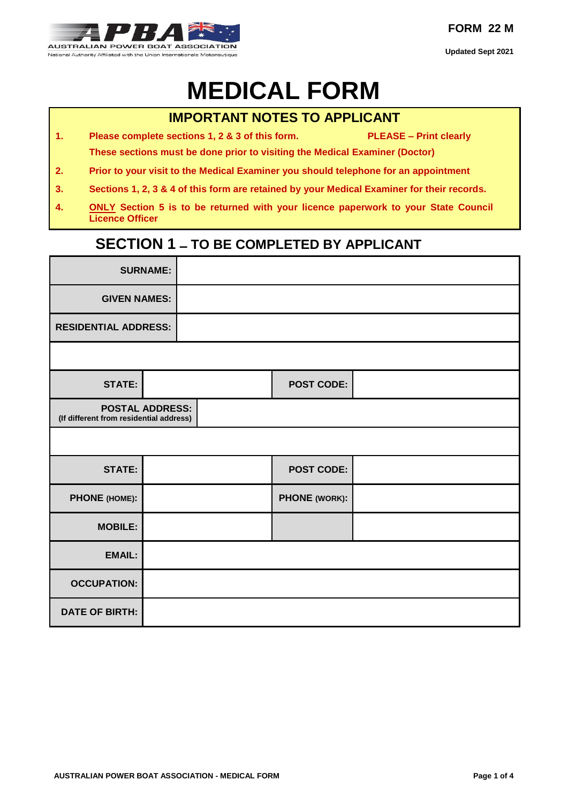

# **MEDICAL FORM**

#### **IMPORTANT NOTES TO APPLICANT**

- **1. Please complete sections 1, 2 & 3 of this form. PLEASE – Print clearly These sections must be done prior to visiting the Medical Examiner (Doctor)**
- **2. Prior to your visit to the Medical Examiner you should telephone for an appointment**
- **3. Sections 1, 2, 3 & 4 of this form are retained by your Medical Examiner for their records.**
- **4. ONLY Section 5 is to be returned with your licence paperwork to your State Council Licence Officer**

### **SECTION 1 – TO BE COMPLETED BY APPLICANT**

|                                         | <b>SURNAME:</b>             |                   |  |  |
|-----------------------------------------|-----------------------------|-------------------|--|--|
| <b>GIVEN NAMES:</b>                     |                             |                   |  |  |
|                                         | <b>RESIDENTIAL ADDRESS:</b> |                   |  |  |
|                                         |                             |                   |  |  |
| <b>STATE:</b>                           |                             | <b>POST CODE:</b> |  |  |
| (If different from residential address) | <b>POSTAL ADDRESS:</b>      |                   |  |  |
|                                         |                             |                   |  |  |
| <b>STATE:</b>                           |                             | <b>POST CODE:</b> |  |  |
| PHONE (HOME):                           |                             | PHONE (WORK):     |  |  |
| <b>MOBILE:</b>                          |                             |                   |  |  |
| <b>EMAIL:</b>                           |                             |                   |  |  |
| <b>OCCUPATION:</b>                      |                             |                   |  |  |
| <b>DATE OF BIRTH:</b>                   |                             |                   |  |  |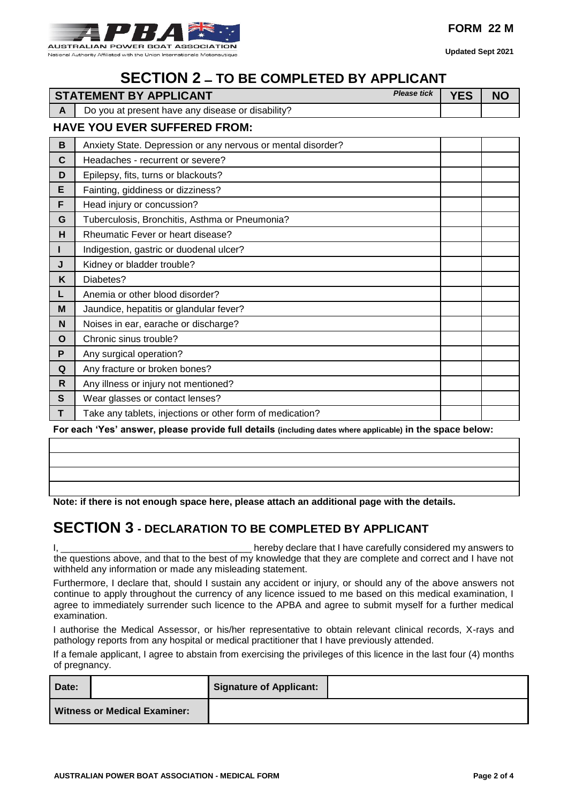

## **SECTION 2 – TO BE COMPLETED BY APPLICANT**

|              | <b>STATEMENT BY APPLICANT</b>                                | <b>Please tick</b> | <b>YES</b> | <b>NO</b> |  |  |
|--------------|--------------------------------------------------------------|--------------------|------------|-----------|--|--|
| $\mathbf{A}$ | Do you at present have any disease or disability?            |                    |            |           |  |  |
|              | <b>HAVE YOU EVER SUFFERED FROM:</b>                          |                    |            |           |  |  |
| $\mathbf B$  | Anxiety State. Depression or any nervous or mental disorder? |                    |            |           |  |  |
| $\mathbf c$  | Headaches - recurrent or severe?                             |                    |            |           |  |  |
| D            | Epilepsy, fits, turns or blackouts?                          |                    |            |           |  |  |
| E            | Fainting, giddiness or dizziness?                            |                    |            |           |  |  |
| F            | Head injury or concussion?                                   |                    |            |           |  |  |
| G            | Tuberculosis, Bronchitis, Asthma or Pneumonia?               |                    |            |           |  |  |
| н            | Rheumatic Fever or heart disease?                            |                    |            |           |  |  |
|              | Indigestion, gastric or duodenal ulcer?                      |                    |            |           |  |  |
| J            | Kidney or bladder trouble?                                   |                    |            |           |  |  |
| K            | Diabetes?                                                    |                    |            |           |  |  |
| L            | Anemia or other blood disorder?                              |                    |            |           |  |  |
| M            | Jaundice, hepatitis or glandular fever?                      |                    |            |           |  |  |
| N            | Noises in ear, earache or discharge?                         |                    |            |           |  |  |
| O            | Chronic sinus trouble?                                       |                    |            |           |  |  |
| P            | Any surgical operation?                                      |                    |            |           |  |  |
| Q            | Any fracture or broken bones?                                |                    |            |           |  |  |
| R            | Any illness or injury not mentioned?                         |                    |            |           |  |  |
| $\mathbf{s}$ | Wear glasses or contact lenses?                              |                    |            |           |  |  |
| T            | Take any tablets, injections or other form of medication?    |                    |            |           |  |  |

**For each 'Yes' answer, please provide full details (including dates where applicable) in the space below:** 

**Note: if there is not enough space here, please attach an additional page with the details.** 

### **SECTION 3 - DECLARATION TO BE COMPLETED BY APPLICANT**

I, \_\_\_\_\_\_\_\_\_\_\_\_\_\_\_\_\_\_\_\_\_\_\_\_\_\_\_\_\_\_\_\_\_\_\_\_ hereby declare that I have carefully considered my answers to the questions above, and that to the best of my knowledge that they are complete and correct and I have not withheld any information or made any misleading statement.

Furthermore, I declare that, should I sustain any accident or injury, or should any of the above answers not continue to apply throughout the currency of any licence issued to me based on this medical examination, I agree to immediately surrender such licence to the APBA and agree to submit myself for a further medical examination.

I authorise the Medical Assessor, or his/her representative to obtain relevant clinical records, X-rays and pathology reports from any hospital or medical practitioner that I have previously attended.

If a female applicant, I agree to abstain from exercising the privileges of this licence in the last four (4) months of pregnancy.

| Date:                               |  | <b>Signature of Applicant:</b> |  |
|-------------------------------------|--|--------------------------------|--|
| <b>Witness or Medical Examiner:</b> |  |                                |  |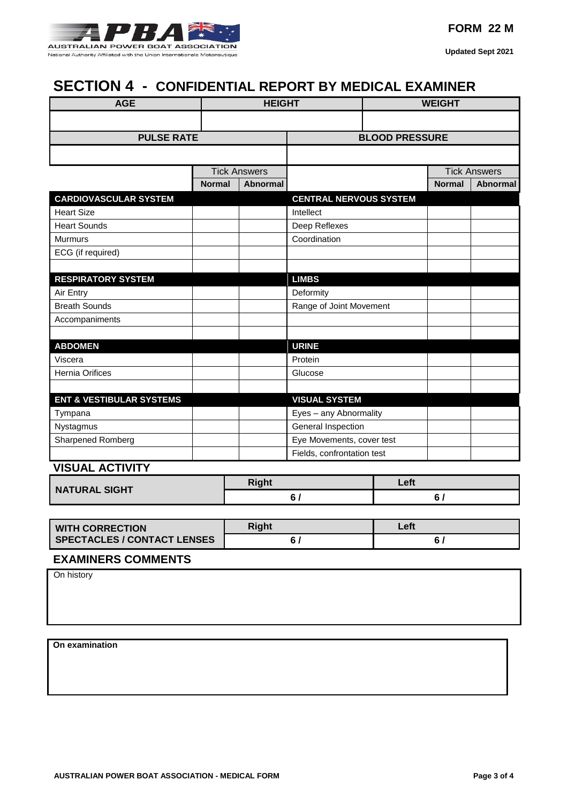

### **SECTION 4 - CONFIDENTIAL REPORT BY MEDICAL EXAMINER**

| <b>AGE</b>                          |               | <b>HEIGHT</b>          |                               | <b>WEIGHT</b> |               |                     |
|-------------------------------------|---------------|------------------------|-------------------------------|---------------|---------------|---------------------|
|                                     |               |                        |                               |               |               |                     |
| <b>PULSE RATE</b>                   |               |                        | <b>BLOOD PRESSURE</b>         |               |               |                     |
|                                     |               |                        |                               |               |               |                     |
|                                     |               | <b>Tick Answers</b>    |                               |               |               | <b>Tick Answers</b> |
|                                     | <b>Normal</b> | <b>Abnormal</b>        |                               |               | <b>Normal</b> | <b>Abnormal</b>     |
| <b>CARDIOVASCULAR SYSTEM</b>        |               |                        | <b>CENTRAL NERVOUS SYSTEM</b> |               |               |                     |
| <b>Heart Size</b>                   |               |                        | Intellect                     |               |               |                     |
| <b>Heart Sounds</b>                 |               |                        | Deep Reflexes                 |               |               |                     |
| <b>Murmurs</b>                      |               |                        | Coordination                  |               |               |                     |
| ECG (if required)                   |               |                        |                               |               |               |                     |
|                                     |               |                        |                               |               |               |                     |
| <b>RESPIRATORY SYSTEM</b>           |               |                        | <b>LIMBS</b>                  |               |               |                     |
| Air Entry                           |               |                        | Deformity                     |               |               |                     |
| <b>Breath Sounds</b>                |               |                        | Range of Joint Movement       |               |               |                     |
| Accompaniments                      |               |                        |                               |               |               |                     |
|                                     |               |                        |                               |               |               |                     |
| <b>ABDOMEN</b>                      |               |                        | <b>URINE</b>                  |               |               |                     |
| Viscera                             |               |                        | Protein                       |               |               |                     |
| Hernia Orifices                     |               |                        | Glucose                       |               |               |                     |
|                                     |               |                        |                               |               |               |                     |
| <b>ENT &amp; VESTIBULAR SYSTEMS</b> |               |                        | <b>VISUAL SYSTEM</b>          |               |               |                     |
| Tympana                             |               | Eyes - any Abnormality |                               |               |               |                     |
| Nystagmus                           |               |                        | General Inspection            |               |               |                     |
| Sharpened Romberg                   |               |                        | Eye Movements, cover test     |               |               |                     |
|                                     |               |                        | Fields, confrontation test    |               |               |                     |
| <b>VISUAL ACTIVITY</b>              |               |                        |                               |               |               |                     |
| <b>NATURAL SIGHT</b>                |               | <b>Right</b>           |                               | Left          |               |                     |
|                                     |               | 6/                     |                               |               | 6/            |                     |
|                                     |               |                        |                               |               |               |                     |

| <b>WITH CORRECTION</b>             | Right | Left |
|------------------------------------|-------|------|
| <b>SPECTACLES / CONTACT LENSES</b> |       |      |

#### **EXAMINERS COMMENTS**

On history

**On examination**